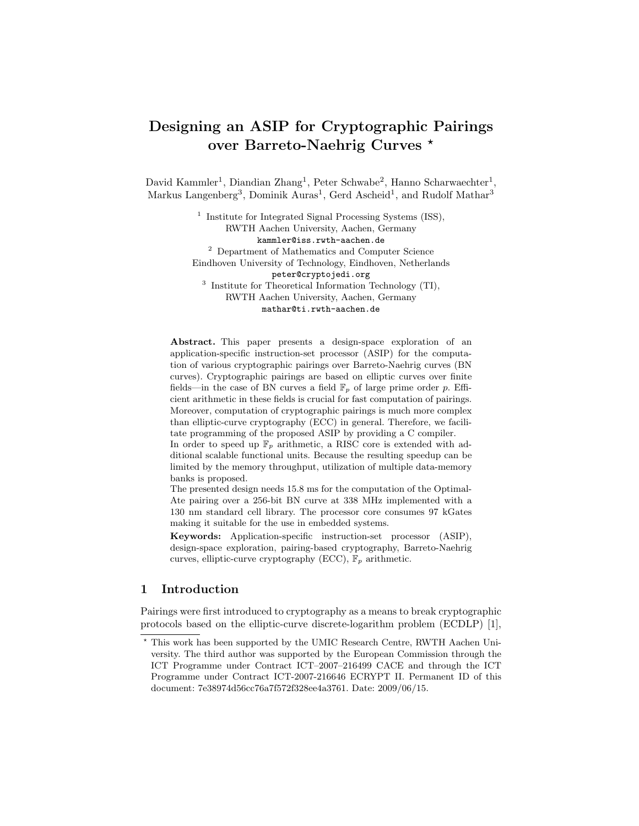# Designing an ASIP for Cryptographic Pairings over Barreto-Naehrig Curves \*

David Kammler<sup>1</sup>, Diandian Zhang<sup>1</sup>, Peter Schwabe<sup>2</sup>, Hanno Scharwaechter<sup>1</sup>, Markus Langenberg<sup>3</sup>, Dominik Auras<sup>1</sup>, Gerd Ascheid<sup>1</sup>, and Rudolf Mathar<sup>3</sup>

> <sup>1</sup> Institute for Integrated Signal Processing Systems (ISS), RWTH Aachen University, Aachen, Germany kammler@iss.rwth-aachen.de <sup>2</sup> Department of Mathematics and Computer Science Eindhoven University of Technology, Eindhoven, Netherlands peter@cryptojedi.org <sup>3</sup> Institute for Theoretical Information Technology (TI), RWTH Aachen University, Aachen, Germany mathar@ti.rwth-aachen.de

Abstract. This paper presents a design-space exploration of an application-specific instruction-set processor (ASIP) for the computation of various cryptographic pairings over Barreto-Naehrig curves (BN curves). Cryptographic pairings are based on elliptic curves over finite fields—in the case of BN curves a field  $\mathbb{F}_p$  of large prime order p. Efficient arithmetic in these fields is crucial for fast computation of pairings. Moreover, computation of cryptographic pairings is much more complex than elliptic-curve cryptography (ECC) in general. Therefore, we facilitate programming of the proposed ASIP by providing a C compiler.

In order to speed up  $\mathbb{F}_p$  arithmetic, a RISC core is extended with additional scalable functional units. Because the resulting speedup can be limited by the memory throughput, utilization of multiple data-memory banks is proposed.

The presented design needs 15.8 ms for the computation of the Optimal-Ate pairing over a 256-bit BN curve at 338 MHz implemented with a 130 nm standard cell library. The processor core consumes 97 kGates making it suitable for the use in embedded systems.

Keywords: Application-specific instruction-set processor (ASIP), design-space exploration, pairing-based cryptography, Barreto-Naehrig curves, elliptic-curve cryptography (ECC),  $\mathbb{F}_p$  arithmetic.

# 1 Introduction

Pairings were first introduced to cryptography as a means to break cryptographic protocols based on the elliptic-curve discrete-logarithm problem (ECDLP) [1],

<sup>?</sup> This work has been supported by the UMIC Research Centre, RWTH Aachen University. The third author was supported by the European Commission through the ICT Programme under Contract ICT–2007–216499 CACE and through the ICT Programme under Contract ICT-2007-216646 ECRYPT II. Permanent ID of this document: 7e38974d56cc76a7f572f328ee4a3761. Date: 2009/06/15.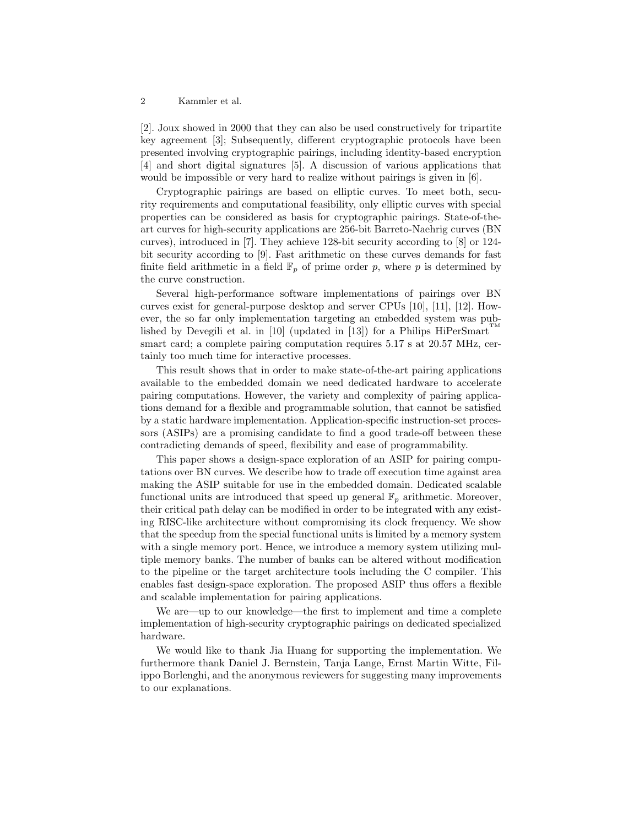[2]. Joux showed in 2000 that they can also be used constructively for tripartite key agreement [3]; Subsequently, different cryptographic protocols have been presented involving cryptographic pairings, including identity-based encryption [4] and short digital signatures [5]. A discussion of various applications that would be impossible or very hard to realize without pairings is given in [6].

Cryptographic pairings are based on elliptic curves. To meet both, security requirements and computational feasibility, only elliptic curves with special properties can be considered as basis for cryptographic pairings. State-of-theart curves for high-security applications are 256-bit Barreto-Naehrig curves (BN curves), introduced in [7]. They achieve 128-bit security according to [8] or 124 bit security according to [9]. Fast arithmetic on these curves demands for fast finite field arithmetic in a field  $\mathbb{F}_p$  of prime order p, where p is determined by the curve construction.

Several high-performance software implementations of pairings over BN curves exist for general-purpose desktop and server CPUs [10], [11], [12]. However, the so far only implementation targeting an embedded system was published by Devegili et al. in  $[10]$  (updated in  $[13]$ ) for a Philips HiPerSmart smart card; a complete pairing computation requires 5.17 s at 20.57 MHz, certainly too much time for interactive processes.

This result shows that in order to make state-of-the-art pairing applications available to the embedded domain we need dedicated hardware to accelerate pairing computations. However, the variety and complexity of pairing applications demand for a flexible and programmable solution, that cannot be satisfied by a static hardware implementation. Application-specific instruction-set processors (ASIPs) are a promising candidate to find a good trade-off between these contradicting demands of speed, flexibility and ease of programmability.

This paper shows a design-space exploration of an ASIP for pairing computations over BN curves. We describe how to trade off execution time against area making the ASIP suitable for use in the embedded domain. Dedicated scalable functional units are introduced that speed up general  $\mathbb{F}_p$  arithmetic. Moreover, their critical path delay can be modified in order to be integrated with any existing RISC-like architecture without compromising its clock frequency. We show that the speedup from the special functional units is limited by a memory system with a single memory port. Hence, we introduce a memory system utilizing multiple memory banks. The number of banks can be altered without modification to the pipeline or the target architecture tools including the C compiler. This enables fast design-space exploration. The proposed ASIP thus offers a flexible and scalable implementation for pairing applications.

We are—up to our knowledge—the first to implement and time a complete implementation of high-security cryptographic pairings on dedicated specialized hardware.

We would like to thank Jia Huang for supporting the implementation. We furthermore thank Daniel J. Bernstein, Tanja Lange, Ernst Martin Witte, Filippo Borlenghi, and the anonymous reviewers for suggesting many improvements to our explanations.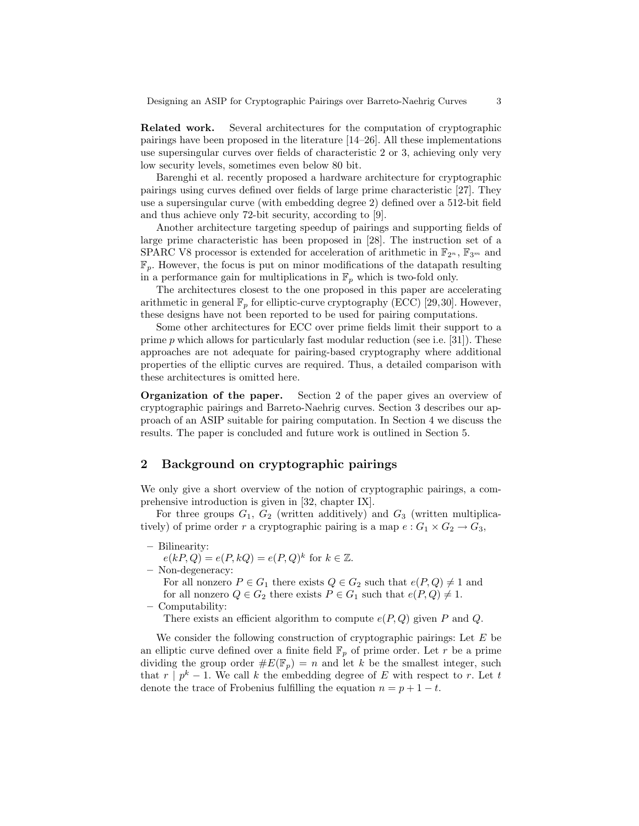Related work. Several architectures for the computation of cryptographic pairings have been proposed in the literature [14–26]. All these implementations use supersingular curves over fields of characteristic 2 or 3, achieving only very low security levels, sometimes even below 80 bit.

Barenghi et al. recently proposed a hardware architecture for cryptographic pairings using curves defined over fields of large prime characteristic [27]. They use a supersingular curve (with embedding degree 2) defined over a 512-bit field and thus achieve only 72-bit security, according to [9].

Another architecture targeting speedup of pairings and supporting fields of large prime characteristic has been proposed in [28]. The instruction set of a SPARC V8 processor is extended for acceleration of arithmetic in  $\mathbb{F}_{2^n}$ ,  $\mathbb{F}_{3^m}$  and  $\mathbb{F}_p$ . However, the focus is put on minor modifications of the datapath resulting in a performance gain for multiplications in  $\mathbb{F}_p$  which is two-fold only.

The architectures closest to the one proposed in this paper are accelerating arithmetic in general  $\mathbb{F}_p$  for elliptic-curve cryptography (ECC) [29,30]. However, these designs have not been reported to be used for pairing computations.

Some other architectures for ECC over prime fields limit their support to a prime  $p$  which allows for particularly fast modular reduction (see i.e. [31]). These approaches are not adequate for pairing-based cryptography where additional properties of the elliptic curves are required. Thus, a detailed comparison with these architectures is omitted here.

Organization of the paper. Section 2 of the paper gives an overview of cryptographic pairings and Barreto-Naehrig curves. Section 3 describes our approach of an ASIP suitable for pairing computation. In Section 4 we discuss the results. The paper is concluded and future work is outlined in Section 5.

# 2 Background on cryptographic pairings

We only give a short overview of the notion of cryptographic pairings, a comprehensive introduction is given in [32, chapter IX].

For three groups  $G_1, G_2$  (written additively) and  $G_3$  (written multiplicatively) of prime order r a cryptographic pairing is a map  $e: G_1 \times G_2 \to G_3$ ,

– Bilinearity:

 $e(kP,Q) = e(P,kQ) = e(P,Q)^k$  for  $k \in \mathbb{Z}$ .

– Non-degeneracy:

For all nonzero  $P \in G_1$  there exists  $Q \in G_2$  such that  $e(P,Q) \neq 1$  and for all nonzero  $Q \in G_2$  there exists  $P \in G_1$  such that  $e(P, Q) \neq 1$ .

There exists an efficient algorithm to compute  $e(P,Q)$  given P and Q.

We consider the following construction of cryptographic pairings: Let  $E$  be an elliptic curve defined over a finite field  $\mathbb{F}_p$  of prime order. Let r be a prime dividing the group order  $\#E(\mathbb{F}_p) = n$  and let k be the smallest integer, such that  $r | p^k - 1$ . We call k the embedding degree of E with respect to r. Let t denote the trace of Frobenius fulfilling the equation  $n = p + 1 - t$ .

<sup>–</sup> Computability: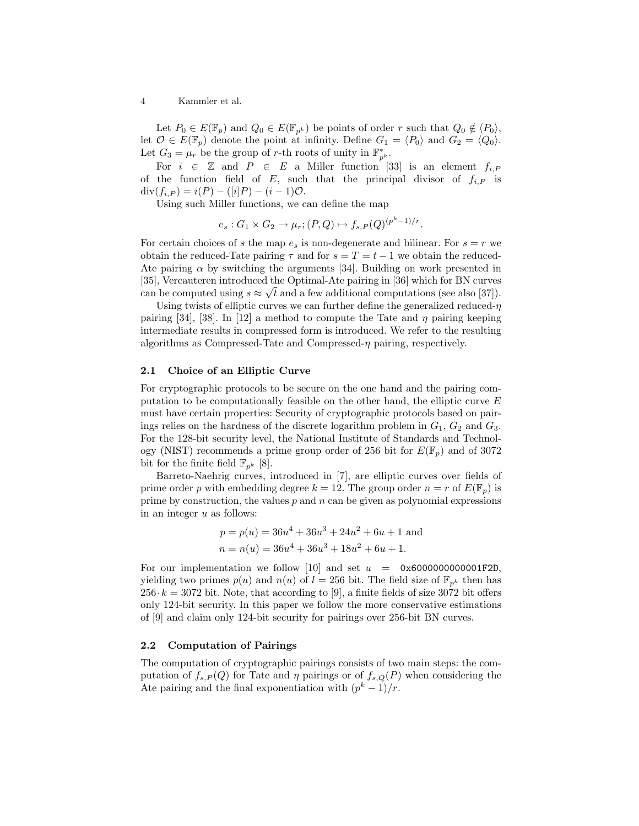Let  $P_0 \in E(\mathbb{F}_p)$  and  $Q_0 \in E(\mathbb{F}_{p^k})$  be points of order r such that  $Q_0 \notin \langle P_0 \rangle$ , let  $\mathcal{O} \in E(\mathbb{F}_p)$  denote the point at infinity. Define  $G_1 = \langle P_0 \rangle$  and  $G_2 = \langle Q_0 \rangle$ . Let  $G_3 = \mu_r$  be the group of r-th roots of unity in  $\mathbb{F}_{p^k}^*$ .

For  $i \in \mathbb{Z}$  and  $P \in E$  a Miller function [33] is an element  $f_{i,P}$ of the function field of E, such that the principal divisor of  $f_{i,P}$  is  $div(f_{i,P}) = i(P) - ([i]P) - (i-1)O.$ 

Using such Miller functions, we can define the map

$$
e_s: G_1 \times G_2 \to \mu_r; (P,Q) \mapsto f_{s,P}(Q)^{(p^k-1)/r}.
$$

For certain choices of s the map  $e_s$  is non-degenerate and bilinear. For  $s = r$  we obtain the reduced-Tate pairing  $\tau$  and for  $s = T = t - 1$  we obtain the reduced-Ate pairing  $\alpha$  by switching the arguments [34]. Building on work presented in [35], Vercauteren introduced the Optimal-Ate pairing in [36] which for BN curves can be computed using  $s \approx \sqrt{t}$  and a few additional computations (see also [37]).

Using twists of elliptic curves we can further define the generalized reduced- $\eta$ pairing [34], [38]. In [12] a method to compute the Tate and  $\eta$  pairing keeping intermediate results in compressed form is introduced. We refer to the resulting algorithms as Compressed-Tate and Compressed- $\eta$  pairing, respectively.

## 2.1 Choice of an Elliptic Curve

For cryptographic protocols to be secure on the one hand and the pairing computation to be computationally feasible on the other hand, the elliptic curve  $E$ must have certain properties: Security of cryptographic protocols based on pairings relies on the hardness of the discrete logarithm problem in  $G_1$ ,  $G_2$  and  $G_3$ . For the 128-bit security level, the National Institute of Standards and Technology (NIST) recommends a prime group order of 256 bit for  $E(\mathbb{F}_p)$  and of 3072 bit for the finite field  $\mathbb{F}_{p^k}$  [8].

Barreto-Naehrig curves, introduced in [7], are elliptic curves over fields of prime order p with embedding degree  $k = 12$ . The group order  $n = r$  of  $E(\mathbb{F}_n)$  is prime by construction, the values  $p$  and  $n$  can be given as polynomial expressions in an integer  $u$  as follows:

$$
p = p(u) = 36u^{4} + 36u^{3} + 24u^{2} + 6u + 1
$$
 and  

$$
n = n(u) = 36u^{4} + 36u^{3} + 18u^{2} + 6u + 1.
$$

For our implementation we follow [10] and set  $u = 0x60000000000001F2D$ , yielding two primes  $p(u)$  and  $n(u)$  of  $l = 256$  bit. The field size of  $\mathbb{F}_{p^k}$  then has  $256 \cdot k = 3072$  bit. Note, that according to [9], a finite fields of size 3072 bit offers only 124-bit security. In this paper we follow the more conservative estimations of [9] and claim only 124-bit security for pairings over 256-bit BN curves.

## 2.2 Computation of Pairings

The computation of cryptographic pairings consists of two main steps: the computation of  $f_{s,P}(Q)$  for Tate and  $\eta$  pairings or of  $f_{s,Q}(P)$  when considering the Ate pairing and the final exponentiation with  $(p<sup>k</sup> - 1)/r$ .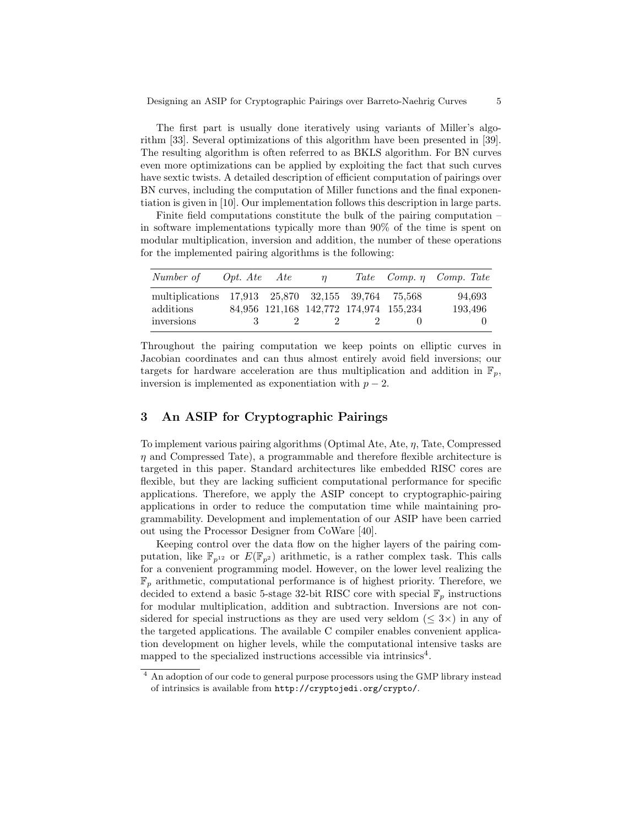The first part is usually done iteratively using variants of Miller's algorithm [33]. Several optimizations of this algorithm have been presented in [39]. The resulting algorithm is often referred to as BKLS algorithm. For BN curves even more optimizations can be applied by exploiting the fact that such curves have sextic twists. A detailed description of efficient computation of pairings over BN curves, including the computation of Miller functions and the final exponentiation is given in [10]. Our implementation follows this description in large parts.

Finite field computations constitute the bulk of the pairing computation – in software implementations typically more than 90% of the time is spent on modular multiplication, inversion and addition, the number of these operations for the implemented pairing algorithms is the following:

| Number of                                                                     | Opt. Ate $Ate$ | $\eta$  |                                        | Tate Comp. $\eta$ Comp. Tate |
|-------------------------------------------------------------------------------|----------------|---------|----------------------------------------|------------------------------|
| multiplications 17,913 25,870 32,155 39,764 75,568<br>additions<br>inversions |                | $\cdot$ | 84,956 121,168 142,772 174,974 155,234 | 94,693<br>193,496            |

Throughout the pairing computation we keep points on elliptic curves in Jacobian coordinates and can thus almost entirely avoid field inversions; our targets for hardware acceleration are thus multiplication and addition in  $\mathbb{F}_p$ , inversion is implemented as exponentiation with  $p - 2$ .

# 3 An ASIP for Cryptographic Pairings

To implement various pairing algorithms (Optimal Ate, Ate,  $\eta$ , Tate, Compressed  $\eta$  and Compressed Tate), a programmable and therefore flexible architecture is targeted in this paper. Standard architectures like embedded RISC cores are flexible, but they are lacking sufficient computational performance for specific applications. Therefore, we apply the ASIP concept to cryptographic-pairing applications in order to reduce the computation time while maintaining programmability. Development and implementation of our ASIP have been carried out using the Processor Designer from CoWare [40].

Keeping control over the data flow on the higher layers of the pairing computation, like  $\mathbb{F}_{p^{12}}$  or  $E(\mathbb{F}_{p^2})$  arithmetic, is a rather complex task. This calls for a convenient programming model. However, on the lower level realizing the  $\mathbb{F}_p$  arithmetic, computational performance is of highest priority. Therefore, we decided to extend a basic 5-stage 32-bit RISC core with special  $\mathbb{F}_p$  instructions for modular multiplication, addition and subtraction. Inversions are not considered for special instructions as they are used very seldom ( $\leq 3 \times$ ) in any of the targeted applications. The available C compiler enables convenient application development on higher levels, while the computational intensive tasks are mapped to the specialized instructions accessible via intrinsics<sup>4</sup>.

<sup>4</sup> An adoption of our code to general purpose processors using the GMP library instead of intrinsics is available from http://cryptojedi.org/crypto/.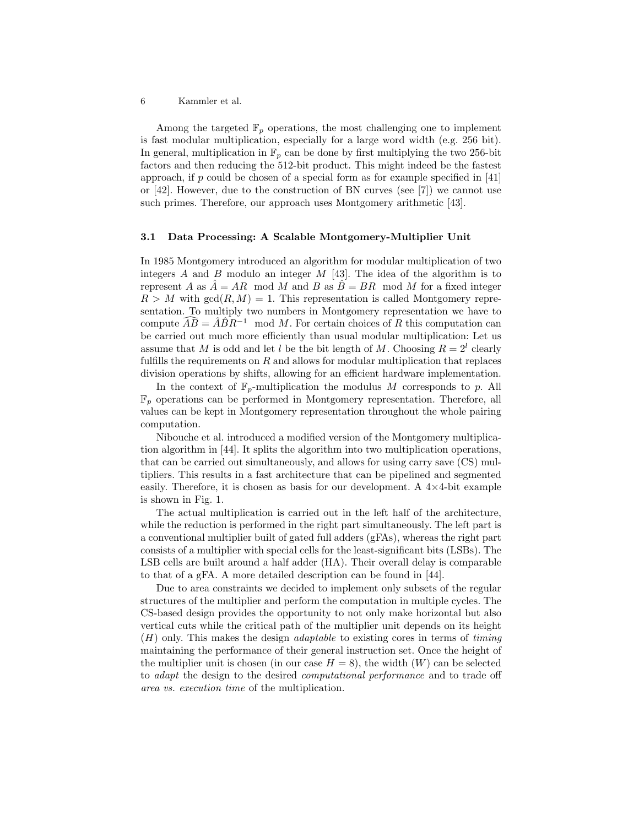Among the targeted  $\mathbb{F}_p$  operations, the most challenging one to implement is fast modular multiplication, especially for a large word width (e.g. 256 bit). In general, multiplication in  $\mathbb{F}_p$  can be done by first multiplying the two 256-bit factors and then reducing the 512-bit product. This might indeed be the fastest approach, if  $p$  could be chosen of a special form as for example specified in [41] or [42]. However, due to the construction of BN curves (see [7]) we cannot use such primes. Therefore, our approach uses Montgomery arithmetic [43].

## 3.1 Data Processing: A Scalable Montgomery-Multiplier Unit

In 1985 Montgomery introduced an algorithm for modular multiplication of two integers  $A$  and  $B$  modulo an integer  $M$  [43]. The idea of the algorithm is to represent A as  $\hat{A} = AR \mod M$  and B as  $\hat{B} = BR \mod M$  for a fixed integer  $R > M$  with  $gcd(R, M) = 1$ . This representation is called Montgomery representation. To multiply two numbers in Montgomery representation we have to compute  $\widehat{AB} = \widehat{A}\widehat{B}R^{-1}$  mod M. For certain choices of R this computation can be carried out much more efficiently than usual modular multiplication: Let us assume that M is odd and let l be the bit length of M. Choosing  $R = 2^l$  clearly fulfills the requirements on  $R$  and allows for modular multiplication that replaces division operations by shifts, allowing for an efficient hardware implementation.

In the context of  $\mathbb{F}_p$ -multiplication the modulus M corresponds to p. All  $\mathbb{F}_p$  operations can be performed in Montgomery representation. Therefore, all values can be kept in Montgomery representation throughout the whole pairing computation.

Nibouche et al. introduced a modified version of the Montgomery multiplication algorithm in [44]. It splits the algorithm into two multiplication operations, that can be carried out simultaneously, and allows for using carry save (CS) multipliers. This results in a fast architecture that can be pipelined and segmented easily. Therefore, it is chosen as basis for our development. A  $4\times4$ -bit example is shown in Fig. 1.

The actual multiplication is carried out in the left half of the architecture, while the reduction is performed in the right part simultaneously. The left part is a conventional multiplier built of gated full adders (gFAs), whereas the right part consists of a multiplier with special cells for the least-significant bits (LSBs). The LSB cells are built around a half adder (HA). Their overall delay is comparable to that of a gFA. A more detailed description can be found in [44].

Due to area constraints we decided to implement only subsets of the regular structures of the multiplier and perform the computation in multiple cycles. The CS-based design provides the opportunity to not only make horizontal but also vertical cuts while the critical path of the multiplier unit depends on its height  $(H)$  only. This makes the design *adaptable* to existing cores in terms of timing maintaining the performance of their general instruction set. Once the height of the multiplier unit is chosen (in our case  $H = 8$ ), the width  $(W)$  can be selected to adapt the design to the desired computational performance and to trade off area vs. execution time of the multiplication.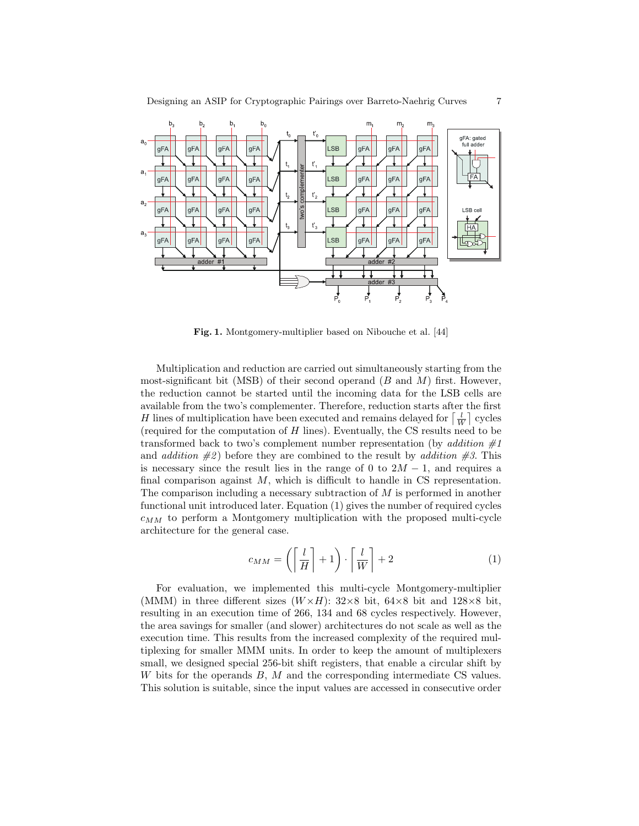

Fig. 1. Montgomery-multiplier based on Nibouche et al. [44]

Multiplication and reduction are carried out simultaneously starting from the most-significant bit (MSB) of their second operand  $(B \text{ and } M)$  first. However, the reduction cannot be started until the incoming data for the LSB cells are available from the two's complementer. Therefore, reduction starts after the first H lines of multiplication have been executed and remains delayed for  $\lceil \frac{l}{W} \rceil$  cycles (required for the computation of  $H$  lines). Eventually, the CS results need to be transformed back to two's complement number representation (by *addition*  $\#1$ and *addition*  $\#2$ ) before they are combined to the result by *addition*  $\#3$ . This is necessary since the result lies in the range of 0 to  $2M - 1$ , and requires a final comparison against  $M$ , which is difficult to handle in CS representation. The comparison including a necessary subtraction of M is performed in another functional unit introduced later. Equation (1) gives the number of required cycles  $c_{MM}$  to perform a Montgomery multiplication with the proposed multi-cycle architecture for the general case.

$$
c_{MM} = \left( \left\lceil \frac{l}{H} \right\rceil + 1 \right) \cdot \left\lceil \frac{l}{W} \right\rceil + 2 \tag{1}
$$

For evaluation, we implemented this multi-cycle Montgomery-multiplier (MMM) in three different sizes  $(W \times H)$ : 32×8 bit, 64×8 bit and 128×8 bit, resulting in an execution time of 266, 134 and 68 cycles respectively. However, the area savings for smaller (and slower) architectures do not scale as well as the execution time. This results from the increased complexity of the required multiplexing for smaller MMM units. In order to keep the amount of multiplexers small, we designed special 256-bit shift registers, that enable a circular shift by  $W$  bits for the operands  $B$ ,  $M$  and the corresponding intermediate CS values. This solution is suitable, since the input values are accessed in consecutive order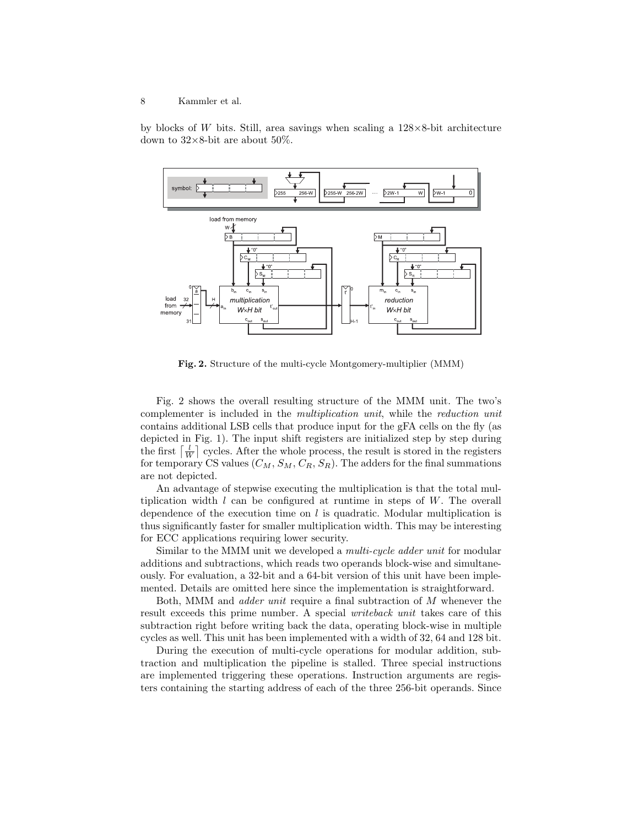by blocks of W bits. Still, area savings when scaling a  $128\times8$ -bit architecture down to  $32\times8$ -bit are about 50%.



Fig. 2. Structure of the multi-cycle Montgomery-multiplier (MMM)

Fig. 2 shows the overall resulting structure of the MMM unit. The two's complementer is included in the multiplication unit, while the reduction unit contains additional LSB cells that produce input for the gFA cells on the fly (as depicted in Fig. 1). The input shift registers are initialized step by step during the first  $\lceil \frac{l}{W} \rceil$  cycles. After the whole process, the result is stored in the registers for temporary CS values  $(C_M, S_M, C_R, S_R)$ . The adders for the final summations are not depicted.

An advantage of stepwise executing the multiplication is that the total multiplication width  $l$  can be configured at runtime in steps of  $W$ . The overall dependence of the execution time on  $l$  is quadratic. Modular multiplication is thus significantly faster for smaller multiplication width. This may be interesting for ECC applications requiring lower security.

Similar to the MMM unit we developed a multi-cycle adder unit for modular additions and subtractions, which reads two operands block-wise and simultaneously. For evaluation, a 32-bit and a 64-bit version of this unit have been implemented. Details are omitted here since the implementation is straightforward.

Both, MMM and adder unit require a final subtraction of M whenever the result exceeds this prime number. A special writeback unit takes care of this subtraction right before writing back the data, operating block-wise in multiple cycles as well. This unit has been implemented with a width of 32, 64 and 128 bit.

During the execution of multi-cycle operations for modular addition, subtraction and multiplication the pipeline is stalled. Three special instructions are implemented triggering these operations. Instruction arguments are registers containing the starting address of each of the three 256-bit operands. Since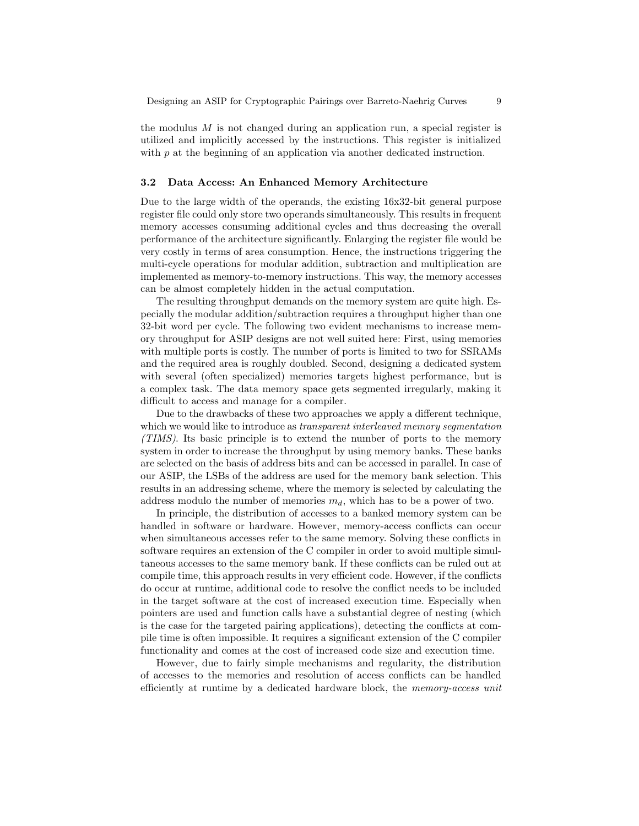the modulus  $M$  is not changed during an application run, a special register is utilized and implicitly accessed by the instructions. This register is initialized with  $p$  at the beginning of an application via another dedicated instruction.

## 3.2 Data Access: An Enhanced Memory Architecture

Due to the large width of the operands, the existing 16x32-bit general purpose register file could only store two operands simultaneously. This results in frequent memory accesses consuming additional cycles and thus decreasing the overall performance of the architecture significantly. Enlarging the register file would be very costly in terms of area consumption. Hence, the instructions triggering the multi-cycle operations for modular addition, subtraction and multiplication are implemented as memory-to-memory instructions. This way, the memory accesses can be almost completely hidden in the actual computation.

The resulting throughput demands on the memory system are quite high. Especially the modular addition/subtraction requires a throughput higher than one 32-bit word per cycle. The following two evident mechanisms to increase memory throughput for ASIP designs are not well suited here: First, using memories with multiple ports is costly. The number of ports is limited to two for SSRAMs and the required area is roughly doubled. Second, designing a dedicated system with several (often specialized) memories targets highest performance, but is a complex task. The data memory space gets segmented irregularly, making it difficult to access and manage for a compiler.

Due to the drawbacks of these two approaches we apply a different technique, which we would like to introduce as *transparent interleaved memory segmentation* (TIMS). Its basic principle is to extend the number of ports to the memory system in order to increase the throughput by using memory banks. These banks are selected on the basis of address bits and can be accessed in parallel. In case of our ASIP, the LSBs of the address are used for the memory bank selection. This results in an addressing scheme, where the memory is selected by calculating the address modulo the number of memories  $m_d$ , which has to be a power of two.

In principle, the distribution of accesses to a banked memory system can be handled in software or hardware. However, memory-access conflicts can occur when simultaneous accesses refer to the same memory. Solving these conflicts in software requires an extension of the C compiler in order to avoid multiple simultaneous accesses to the same memory bank. If these conflicts can be ruled out at compile time, this approach results in very efficient code. However, if the conflicts do occur at runtime, additional code to resolve the conflict needs to be included in the target software at the cost of increased execution time. Especially when pointers are used and function calls have a substantial degree of nesting (which is the case for the targeted pairing applications), detecting the conflicts at compile time is often impossible. It requires a significant extension of the C compiler functionality and comes at the cost of increased code size and execution time.

However, due to fairly simple mechanisms and regularity, the distribution of accesses to the memories and resolution of access conflicts can be handled efficiently at runtime by a dedicated hardware block, the memory-access unit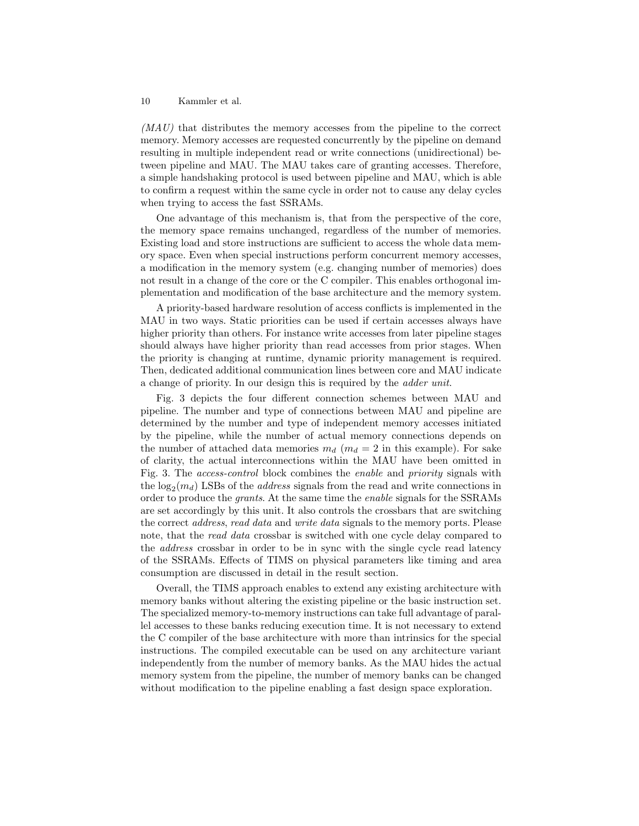(MAU) that distributes the memory accesses from the pipeline to the correct memory. Memory accesses are requested concurrently by the pipeline on demand resulting in multiple independent read or write connections (unidirectional) between pipeline and MAU. The MAU takes care of granting accesses. Therefore, a simple handshaking protocol is used between pipeline and MAU, which is able to confirm a request within the same cycle in order not to cause any delay cycles when trying to access the fast SSRAMs.

One advantage of this mechanism is, that from the perspective of the core, the memory space remains unchanged, regardless of the number of memories. Existing load and store instructions are sufficient to access the whole data memory space. Even when special instructions perform concurrent memory accesses, a modification in the memory system (e.g. changing number of memories) does not result in a change of the core or the C compiler. This enables orthogonal implementation and modification of the base architecture and the memory system.

A priority-based hardware resolution of access conflicts is implemented in the MAU in two ways. Static priorities can be used if certain accesses always have higher priority than others. For instance write accesses from later pipeline stages should always have higher priority than read accesses from prior stages. When the priority is changing at runtime, dynamic priority management is required. Then, dedicated additional communication lines between core and MAU indicate a change of priority. In our design this is required by the adder unit.

Fig. 3 depicts the four different connection schemes between MAU and pipeline. The number and type of connections between MAU and pipeline are determined by the number and type of independent memory accesses initiated by the pipeline, while the number of actual memory connections depends on the number of attached data memories  $m_d$  ( $m_d = 2$  in this example). For sake of clarity, the actual interconnections within the MAU have been omitted in Fig. 3. The access-control block combines the enable and priority signals with the  $log_2(m_d)$  LSBs of the *address* signals from the read and write connections in order to produce the grants. At the same time the enable signals for the SSRAMs are set accordingly by this unit. It also controls the crossbars that are switching the correct address, read data and write data signals to the memory ports. Please note, that the read data crossbar is switched with one cycle delay compared to the address crossbar in order to be in sync with the single cycle read latency of the SSRAMs. Effects of TIMS on physical parameters like timing and area consumption are discussed in detail in the result section.

Overall, the TIMS approach enables to extend any existing architecture with memory banks without altering the existing pipeline or the basic instruction set. The specialized memory-to-memory instructions can take full advantage of parallel accesses to these banks reducing execution time. It is not necessary to extend the C compiler of the base architecture with more than intrinsics for the special instructions. The compiled executable can be used on any architecture variant independently from the number of memory banks. As the MAU hides the actual memory system from the pipeline, the number of memory banks can be changed without modification to the pipeline enabling a fast design space exploration.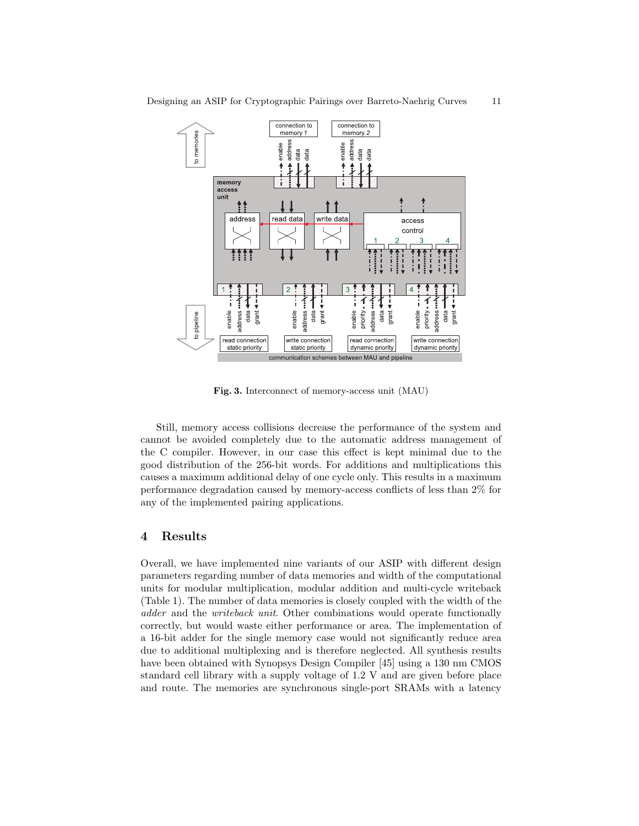

Fig. 3. Interconnect of memory-access unit (MAU)

read connection

dynamic priority

ation schemes between MAU and pipel

write connection

dynamic priority

write connectior

static priority

read connectior

static priority

Still, memory access collisions decrease the performance of the system and cannot be avoided completely due to the automatic address management of the C compiler. However, in our case this effect is kept minimal due to the good distribution of the 256-bit words. For additions and multiplications this causes a maximum additional delay of one cycle only. This results in a maximum performance degradation caused by memory-access conflicts of less than 2% for any of the implemented pairing applications.

# 4 Results

Overall, we have implemented nine variants of our ASIP with different design parameters regarding number of data memories and width of the computational units for modular multiplication, modular addition and multi-cycle writeback (Table 1). The number of data memories is closely coupled with the width of the adder and the writeback unit. Other combinations would operate functionally correctly, but would waste either performance or area. The implementation of a 16-bit adder for the single memory case would not significantly reduce area due to additional multiplexing and is therefore neglected. All synthesis results have been obtained with Synopsys Design Compiler [45] using a 130 nm CMOS standard cell library with a supply voltage of 1.2 V and are given before place and route. The memories are synchronous single-port SRAMs with a latency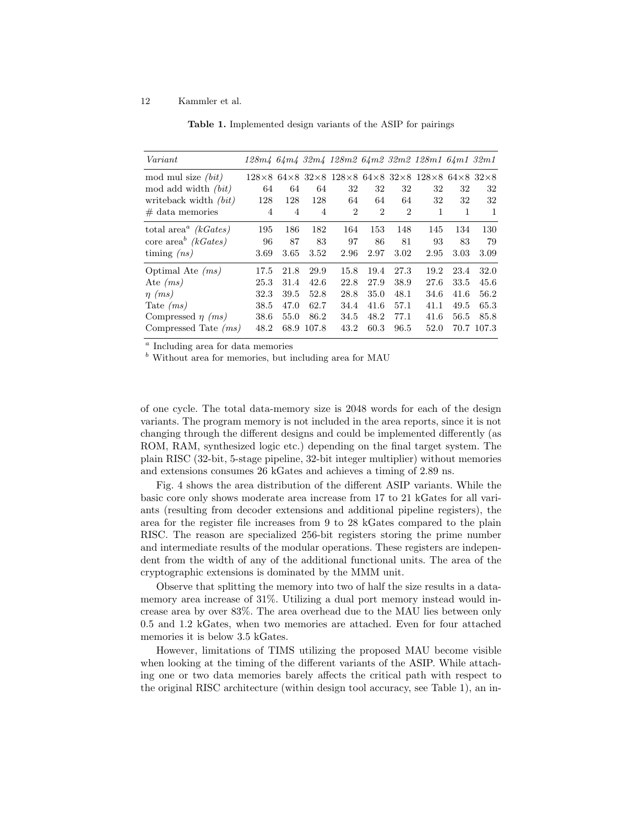| Variant                                       |      |      |            | 128m4 64m4 32m4 128m2 64m2 32m2 128m1 64m1 32m1                                                                        |                |      |      |      |            |
|-----------------------------------------------|------|------|------------|------------------------------------------------------------------------------------------------------------------------|----------------|------|------|------|------------|
| mod mul size $(bit)$                          |      |      |            | $128\times8$ 64 $\times8$ 32 $\times8$ 128 $\times8$ 64 $\times8$ 32 $\times8$ 128 $\times8$ 64 $\times8$ 32 $\times8$ |                |      |      |      |            |
| mod add width <i>(bit)</i>                    | 64   | 64   | 64         | 32                                                                                                                     | 32             | 32   | 32   | 32   | 32         |
| writeback width <i>(bit)</i>                  | 128  | 128  | 128        | 64                                                                                                                     | 64             | 64   | 32   | 32   | 32         |
| $\#$ data memories                            | 4    | 4    | 4          | 2                                                                                                                      | $\overline{2}$ | 2    | 1    | 1    | 1          |
| total area <sup><math>a</math></sup> (kGates) | 195  | 186  | 182        | 164                                                                                                                    | 153            | 148  | 145  | 134  | 130        |
| core area <sup>b</sup> ( $kGates$ )           | 96   | 87   | 83         | 97                                                                                                                     | 86             | 81   | 93   | 83   | 79         |
| timing $(ns)$                                 | 3.69 | 3.65 | 3.52       | 2.96                                                                                                                   | 2.97           | 3.02 | 2.95 | 3.03 | 3.09       |
| Optimal Ate $(ms)$                            | 17.5 | 21.8 | 29.9       | 15.8                                                                                                                   | 19.4           | 27.3 | 19.2 | 23.4 | 32.0       |
| Ate $(ms)$                                    | 25.3 | 31.4 | 42.6       | 22.8                                                                                                                   | 27.9           | 38.9 | 27.6 | 33.5 | 45.6       |
| $\eta$ (ms)                                   | 32.3 | 39.5 | 52.8       | 28.8                                                                                                                   | 35.0           | 48.1 | 34.6 | 41.6 | 56.2       |
| Tate $(ms)$                                   | 38.5 | 47.0 | 62.7       | 34.4                                                                                                                   | 41.6           | 57.1 | 41.1 | 49.5 | 65.3       |
| Compressed $\eta$ (ms)                        | 38.6 | 55.0 | 86.2       | 34.5                                                                                                                   | 48.2           | 77.1 | 41.6 | 56.5 | 85.8       |
| Compressed Tate $(ms)$                        | 48.2 |      | 68.9 107.8 | 43.2                                                                                                                   | 60.3           | 96.5 | 52.0 |      | 70.7 107.3 |

Table 1. Implemented design variants of the ASIP for pairings

<sup>a</sup> Including area for data memories

 $<sup>b</sup>$  Without area for memories, but including area for MAU</sup>

of one cycle. The total data-memory size is 2048 words for each of the design variants. The program memory is not included in the area reports, since it is not changing through the different designs and could be implemented differently (as ROM, RAM, synthesized logic etc.) depending on the final target system. The plain RISC (32-bit, 5-stage pipeline, 32-bit integer multiplier) without memories and extensions consumes 26 kGates and achieves a timing of 2.89 ns.

Fig. 4 shows the area distribution of the different ASIP variants. While the basic core only shows moderate area increase from 17 to 21 kGates for all variants (resulting from decoder extensions and additional pipeline registers), the area for the register file increases from 9 to 28 kGates compared to the plain RISC. The reason are specialized 256-bit registers storing the prime number and intermediate results of the modular operations. These registers are independent from the width of any of the additional functional units. The area of the cryptographic extensions is dominated by the MMM unit.

Observe that splitting the memory into two of half the size results in a datamemory area increase of 31%. Utilizing a dual port memory instead would increase area by over 83%. The area overhead due to the MAU lies between only 0.5 and 1.2 kGates, when two memories are attached. Even for four attached memories it is below 3.5 kGates.

However, limitations of TIMS utilizing the proposed MAU become visible when looking at the timing of the different variants of the ASIP. While attaching one or two data memories barely affects the critical path with respect to the original RISC architecture (within design tool accuracy, see Table 1), an in-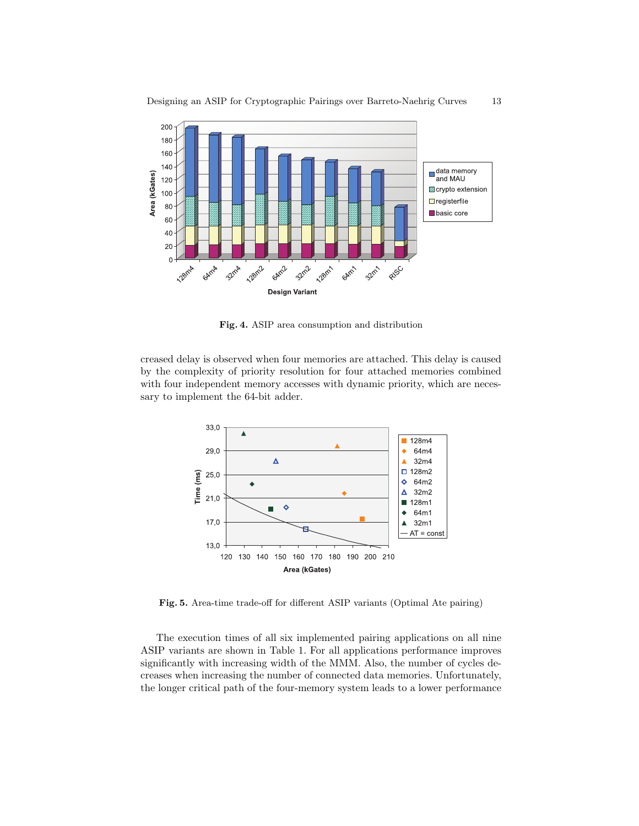

Fig. 4. ASIP area consumption and distribution

creased delay is observed when four memories are attached. This delay is caused by the complexity of priority resolution for four attached memories combined with four independent memory accesses with dynamic priority, which are necessary to implement the 64-bit adder.



Fig. 5. Area-time trade-off for different ASIP variants (Optimal Ate pairing)

The execution times of all six implemented pairing applications on all nine ASIP variants are shown in Table 1. For all applications performance improves significantly with increasing width of the MMM. Also, the number of cycles decreases when increasing the number of connected data memories. Unfortunately, the longer critical path of the four-memory system leads to a lower performance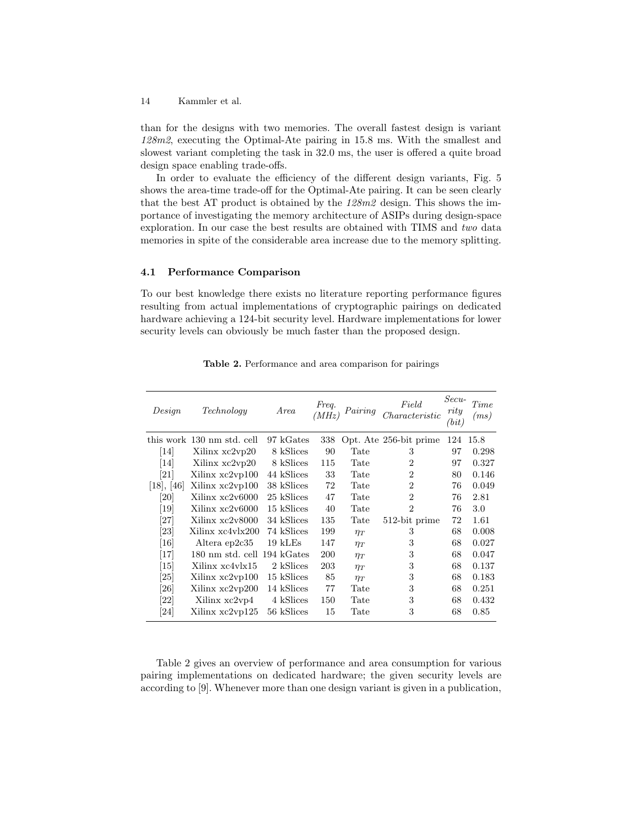than for the designs with two memories. The overall fastest design is variant 128m2, executing the Optimal-Ate pairing in 15.8 ms. With the smallest and slowest variant completing the task in 32.0 ms, the user is offered a quite broad design space enabling trade-offs.

In order to evaluate the efficiency of the different design variants, Fig. 5 shows the area-time trade-off for the Optimal-Ate pairing. It can be seen clearly that the best AT product is obtained by the 128m2 design. This shows the importance of investigating the memory architecture of ASIPs during design-space exploration. In our case the best results are obtained with TIMS and two data memories in spite of the considerable area increase due to the memory splitting.

## 4.1 Performance Comparison

To our best knowledge there exists no literature reporting performance figures resulting from actual implementations of cryptographic pairings on dedicated hardware achieving a 124-bit security level. Hardware implementations for lower security levels can obviously be much faster than the proposed design.

| Design             | Technology                  | Area       | Freq.<br>(MHz) | Pairing  | Field<br>Characteristic | $Secu$ -<br>ritu<br>$\left( bit\right)$ | <b>Time</b><br>(ms) |
|--------------------|-----------------------------|------------|----------------|----------|-------------------------|-----------------------------------------|---------------------|
|                    | this work 130 nm std. cell  | 97 kGates  | 338            |          | Opt. Ate 256-bit prime  | 124                                     | 15.8                |
| [14]               | Xilinx xc2vp20              | 8 kSlices  | 90             | Tate     | 3                       | 97                                      | 0.298               |
| [14]               | Xilinx xc2vp20              | 8 kSlices  | 115            | Tate     | $\overline{2}$          | 97                                      | 0.327               |
| [21]               | Xilinx xc2vp100             | 44 kSlices | 33             | Tate     | $\overline{2}$          | 80                                      | 0.146               |
| [18], [46]         | Xilinx xc2vp100             | 38 kSlices | 72             | Tate     | $\overline{2}$          | 76                                      | 0.049               |
| [20]               | Xilinx xc2v6000             | 25 kSlices | 47             | Tate     | $\overline{2}$          | 76                                      | 2.81                |
| [19]               | Xilinx xc2v6000             | 15 kSlices | 40             | Tate     | $\overline{2}$          | 76                                      | 3.0                 |
| [27]               | Xilinx xc2v8000             | 34 kSlices | 135            | Tate     | 512-bit prime           | 72                                      | 1.61                |
| [23]               | Xilinx xc4vlx200            | 74 kSlices | 199            | $\eta_T$ | 3                       | 68                                      | 0.008               |
| $[16]$             | Altera ep2c35               | $19$ kLEs  | 147            | $\eta_T$ | 3                       | 68                                      | 0.027               |
| [17]               | 180 nm std. cell 194 kGates |            | 200            | $\eta_T$ | 3                       | 68                                      | 0.047               |
| [15]               | Xilinx xc4vlx15             | 2 kSlices  | 203            | $\eta_T$ | 3                       | 68                                      | 0.137               |
| $\left[ 25\right]$ | Xilinx xc2vp100             | 15 kSlices | 85             | $\eta_T$ | 3                       | 68                                      | 0.183               |
| 26                 | Xilinx xc2vp200             | 14 kSlices | 77             | Tate     | 3                       | 68                                      | 0.251               |
| [22]               | Xilinx xc2vp4               | 4 kSlices  | 150            | Tate     | 3                       | 68                                      | 0.432               |
| [24]               | Xilinx xc2vp125             | 56 kSlices | 15             | Tate     | 3                       | 68                                      | 0.85                |

Table 2. Performance and area comparison for pairings

Table 2 gives an overview of performance and area consumption for various pairing implementations on dedicated hardware; the given security levels are according to [9]. Whenever more than one design variant is given in a publication,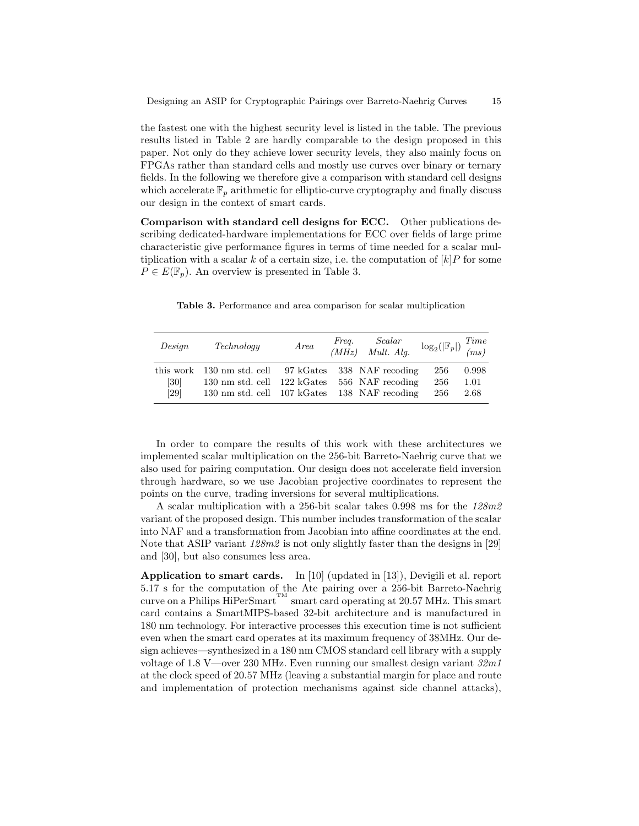the fastest one with the highest security level is listed in the table. The previous results listed in Table 2 are hardly comparable to the design proposed in this paper. Not only do they achieve lower security levels, they also mainly focus on FPGAs rather than standard cells and mostly use curves over binary or ternary fields. In the following we therefore give a comparison with standard cell designs which accelerate  $\mathbb{F}_p$  arithmetic for elliptic-curve cryptography and finally discuss our design in the context of smart cards.

Comparison with standard cell designs for ECC. Other publications describing dedicated-hardware implementations for ECC over fields of large prime characteristic give performance figures in terms of time needed for a scalar multiplication with a scalar k of a certain size, i.e. the computation of  $[k]P$  for some  $P \in E(\mathbb{F}_n)$ . An overview is presented in Table 3.

Table 3. Performance and area comparison for scalar multiplication

| Design            | Technology                                            | Area | Freq.<br>(MHz) | Scalar<br>Mult. Alg. | $\log_2( \mathbb{F}_p )$ $\frac{Time}{(ms)}$ |       |
|-------------------|-------------------------------------------------------|------|----------------|----------------------|----------------------------------------------|-------|
|                   | this work 130 nm std. cell 97 kGates 338 NAF recoding |      |                |                      | 256                                          | 0.998 |
| $\left[30\right]$ | 130 nm std. cell 122 kGates 556 NAF recoding          |      |                |                      | 256                                          | 1.01  |
| [29]              | 130 nm std. cell 107 kGates 138 NAF recoding          |      |                |                      | 256                                          | 2.68  |

In order to compare the results of this work with these architectures we implemented scalar multiplication on the 256-bit Barreto-Naehrig curve that we also used for pairing computation. Our design does not accelerate field inversion through hardware, so we use Jacobian projective coordinates to represent the points on the curve, trading inversions for several multiplications.

A scalar multiplication with a 256-bit scalar takes 0.998 ms for the 128m2 variant of the proposed design. This number includes transformation of the scalar into NAF and a transformation from Jacobian into affine coordinates at the end. Note that ASIP variant  $128m2$  is not only slightly faster than the designs in [29] and [30], but also consumes less area.

**Application to smart cards.** In [10] (updated in [13]), Devigili et al. report 5.17 s for the computation of the Ate pairing over a 256-bit Barreto-Naehrig curve on a Philips HiPerSmart<sup>TM</sup> smart card operating at  $20.57$  MHz. This smart card contains a SmartMIPS-based 32-bit architecture and is manufactured in 180 nm technology. For interactive processes this execution time is not sufficient even when the smart card operates at its maximum frequency of 38MHz. Our design achieves—synthesized in a 180 nm CMOS standard cell library with a supply voltage of 1.8 V—over 230 MHz. Even running our smallest design variant  $32m1$ at the clock speed of 20.57 MHz (leaving a substantial margin for place and route and implementation of protection mechanisms against side channel attacks),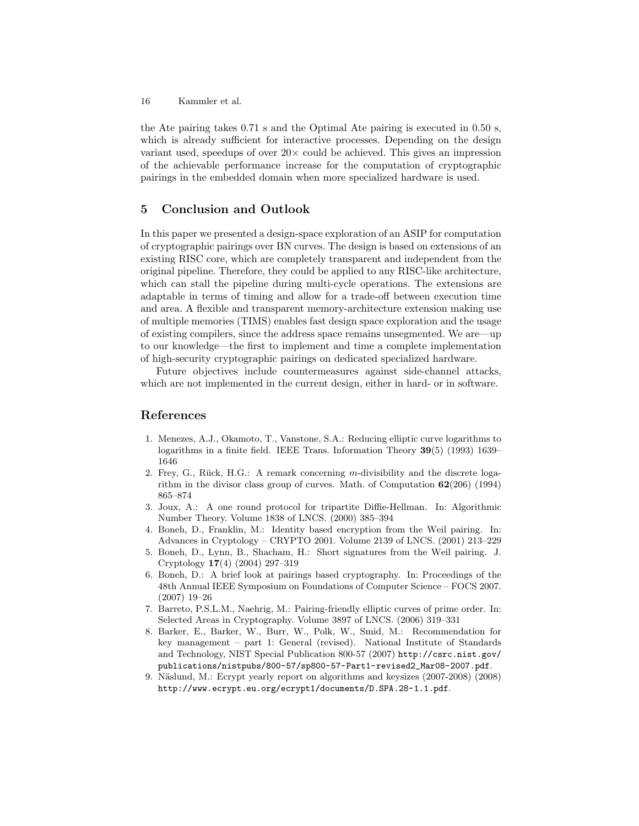the Ate pairing takes 0.71 s and the Optimal Ate pairing is executed in 0.50 s, which is already sufficient for interactive processes. Depending on the design variant used, speedups of over  $20 \times$  could be achieved. This gives an impression of the achievable performance increase for the computation of cryptographic pairings in the embedded domain when more specialized hardware is used.

# 5 Conclusion and Outlook

In this paper we presented a design-space exploration of an ASIP for computation of cryptographic pairings over BN curves. The design is based on extensions of an existing RISC core, which are completely transparent and independent from the original pipeline. Therefore, they could be applied to any RISC-like architecture, which can stall the pipeline during multi-cycle operations. The extensions are adaptable in terms of timing and allow for a trade-off between execution time and area. A flexible and transparent memory-architecture extension making use of multiple memories (TIMS) enables fast design space exploration and the usage of existing compilers, since the address space remains unsegmented. We are—up to our knowledge—the first to implement and time a complete implementation of high-security cryptographic pairings on dedicated specialized hardware.

Future objectives include countermeasures against side-channel attacks, which are not implemented in the current design, either in hard- or in software.

# References

- 1. Menezes, A.J., Okamoto, T., Vanstone, S.A.: Reducing elliptic curve logarithms to logarithms in a finite field. IEEE Trans. Information Theory 39(5) (1993) 1639– 1646
- 2. Frey, G., Rück, H.G.: A remark concerning m-divisibility and the discrete logarithm in the divisor class group of curves. Math. of Computation  $62(206)$  (1994) 865–874
- 3. Joux, A.: A one round protocol for tripartite Diffie-Hellman. In: Algorithmic Number Theory. Volume 1838 of LNCS. (2000) 385–394
- 4. Boneh, D., Franklin, M.: Identity based encryption from the Weil pairing. In: Advances in Cryptology – CRYPTO 2001. Volume 2139 of LNCS. (2001) 213–229
- 5. Boneh, D., Lynn, B., Shacham, H.: Short signatures from the Weil pairing. J. Cryptology 17(4) (2004) 297–319
- 6. Boneh, D.: A brief look at pairings based cryptography. In: Proceedings of the 48th Annual IEEE Symposium on Foundations of Computer Science – FOCS 2007. (2007) 19–26
- 7. Barreto, P.S.L.M., Naehrig, M.: Pairing-friendly elliptic curves of prime order. In: Selected Areas in Cryptography. Volume 3897 of LNCS. (2006) 319–331
- 8. Barker, E., Barker, W., Burr, W., Polk, W., Smid, M.: Recommendation for key management – part 1: General (revised). National Institute of Standards and Technology, NIST Special Publication 800-57 (2007) http://csrc.nist.gov/ publications/nistpubs/800-57/sp800-57-Part1-revised2\_Mar08-2007.pdf.
- 9. Näslund, M.: Ecrypt yearly report on algorithms and keysizes (2007-2008) (2008) http://www.ecrypt.eu.org/ecrypt1/documents/D.SPA.28-1.1.pdf.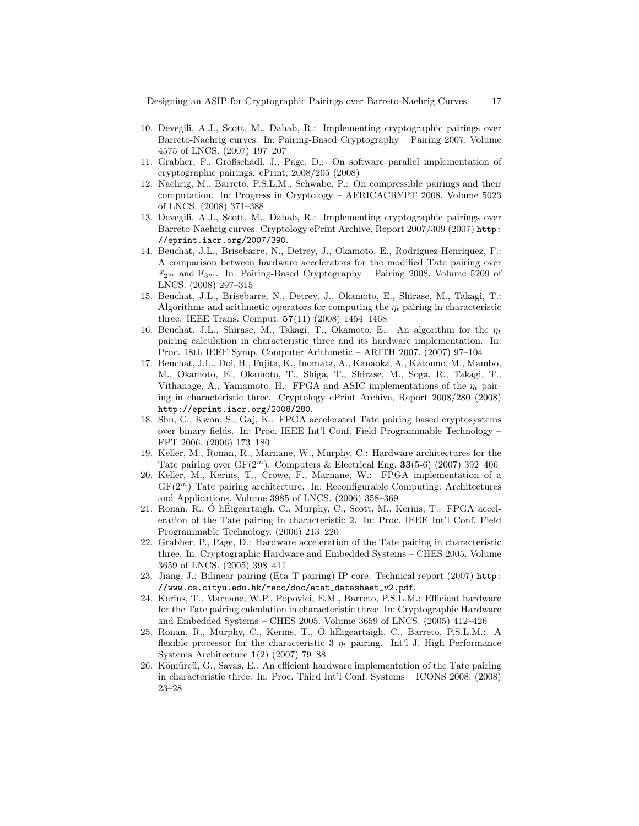- 10. Devegili, A.J., Scott, M., Dahab, R.: Implementing cryptographic pairings over Barreto-Naehrig curves. In: Pairing-Based Cryptography – Pairing 2007. Volume 4575 of LNCS. (2007) 197–207
- 11. Grabher, P., Großsch¨adl, J., Page, D.: On software parallel implementation of cryptographic pairings. ePrint, 2008/205 (2008)
- 12. Naehrig, M., Barreto, P.S.L.M., Schwabe, P.: On compressible pairings and their computation. In: Progress in Cryptology – AFRICACRYPT 2008. Volume 5023 of LNCS. (2008) 371–388
- 13. Devegili, A.J., Scott, M., Dahab, R.: Implementing cryptographic pairings over Barreto-Naehrig curves. Cryptology ePrint Archive, Report 2007/309 (2007) http: //eprint.iacr.org/2007/390.
- 14. Beuchat, J.L., Brisebarre, N., Detrey, J., Okamoto, E., Rodríguez-Henríquez, F.: A comparison between hardware accelerators for the modified Tate pairing over  $\mathbb{F}_{2^m}$  and  $\mathbb{F}_{3^m}$ . In: Pairing-Based Cryptography – Pairing 2008. Volume 5209 of LNCS. (2008) 297–315
- 15. Beuchat, J.L., Brisebarre, N., Detrey, J., Okamoto, E., Shirase, M., Takagi, T.: Algorithms and arithmetic operators for computing the  $\eta_t$  pairing in characteristic three. IEEE Trans. Comput. 57(11) (2008) 1454–1468
- 16. Beuchat, J.L., Shirase, M., Takagi, T., Okamoto, E.: An algorithm for the  $\eta_t$ pairing calculation in characteristic three and its hardware implementation. In: Proc. 18th IEEE Symp. Computer Arithmetic – ARITH 2007. (2007) 97–104
- 17. Beuchat, J.L., Doi, H., Fujita, K., Inomata, A., Kanaoka, A., Katouno, M., Mambo, M., Okamoto, E., Okamoto, T., Shiga, T., Shirase, M., Soga, R., Takagi, T., Vithanage, A., Yamamoto, H.: FPGA and ASIC implementations of the  $\eta_t$  pairing in characteristic three. Cryptology ePrint Archive, Report 2008/280 (2008) http://eprint.iacr.org/2008/280.
- 18. Shu, C., Kwon, S., Gaj, K.: FPGA accelerated Tate pairing based cryptosystems over binary fields. In: Proc. IEEE Int'l Conf. Field Programmable Technology – FPT 2006. (2006) 173–180
- 19. Keller, M., Ronan, R., Marnane, W., Murphy, C.: Hardware architectures for the Tate pairing over  $GF(2^m)$ . Computers & Electrical Eng. 33(5-6) (2007) 392-406
- 20. Keller, M., Kerins, T., Crowe, F., Marnane, W.: FPGA implementation of a  $GF(2<sup>m</sup>)$  Tate pairing architecture. In: Reconfigurable Computing: Architectures and Applications. Volume 3985 of LNCS. (2006) 358–369
- 21. Ronan, R., Ó hÉigeartaigh, C., Murphy, C., Scott, M., Kerins, T.: FPGA acceleration of the Tate pairing in characteristic 2. In: Proc. IEEE Int'l Conf. Field Programmable Technology. (2006) 213–220
- 22. Grabher, P., Page, D.: Hardware acceleration of the Tate pairing in characteristic three. In: Cryptographic Hardware and Embedded Systems – CHES 2005. Volume 3659 of LNCS. (2005) 398–411
- 23. Jiang, J.: Bilinear pairing (Eta T pairing) IP core. Technical report (2007) http: //www.cs.cityu.edu.hk/~ecc/doc/etat\_datasheet\_v2.pdf.
- 24. Kerins, T., Marnane, W.P., Popovici, E.M., Barreto, P.S.L.M.: Efficient hardware for the Tate pairing calculation in characteristic three. In: Cryptographic Hardware and Embedded Systems – CHES 2005. Volume 3659 of LNCS. (2005) 412–426
- 25. Ronan, R., Murphy, C., Kerins, T., O h Eigeartaigh, C., Barreto, P.S.L.M.: A flexible processor for the characteristic 3  $\eta_t$  pairing. Int'l J. High Performance Systems Architecture 1(2) (2007) 79–88
- 26. Kömürcü, G., Savas, E.: An efficient hardware implementation of the Tate pairing in characteristic three. In: Proc. Third Int'l Conf. Systems – ICONS 2008. (2008) 23–28